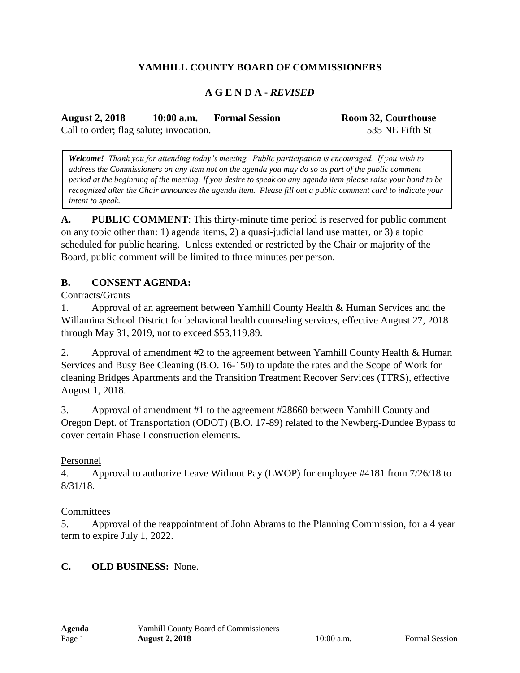# **YAMHILL COUNTY BOARD OF COMMISSIONERS**

### **A G E N D A -** *REVISED*

**August 2, 2018 10:00 a.m. Formal Session Room 32, Courthouse** Call to order; flag salute; invocation. 535 NE Fifth St

*Welcome! Thank you for attending today's meeting. Public participation is encouraged. If you wish to address the Commissioners on any item not on the agenda you may do so as part of the public comment period at the beginning of the meeting. If you desire to speak on any agenda item please raise your hand to be recognized after the Chair announces the agenda item. Please fill out a public comment card to indicate your intent to speak.*

**A. PUBLIC COMMENT**: This thirty-minute time period is reserved for public comment on any topic other than: 1) agenda items, 2) a quasi-judicial land use matter, or 3) a topic scheduled for public hearing. Unless extended or restricted by the Chair or majority of the Board, public comment will be limited to three minutes per person.

#### **B. CONSENT AGENDA:**

Contracts/Grants

1. Approval of an agreement between Yamhill County Health & Human Services and the Willamina School District for behavioral health counseling services, effective August 27, 2018 through May 31, 2019, not to exceed \$53,119.89.

2. Approval of amendment #2 to the agreement between Yamhill County Health & Human Services and Busy Bee Cleaning (B.O. 16-150) to update the rates and the Scope of Work for cleaning Bridges Apartments and the Transition Treatment Recover Services (TTRS), effective August 1, 2018.

3. Approval of amendment #1 to the agreement #28660 between Yamhill County and Oregon Dept. of Transportation (ODOT) (B.O. 17-89) related to the Newberg-Dundee Bypass to cover certain Phase I construction elements.

### Personnel

4. Approval to authorize Leave Without Pay (LWOP) for employee #4181 from 7/26/18 to 8/31/18.

#### **Committees**

5. Approval of the reappointment of John Abrams to the Planning Commission, for a 4 year term to expire July 1, 2022.

#### **C. OLD BUSINESS:** None.